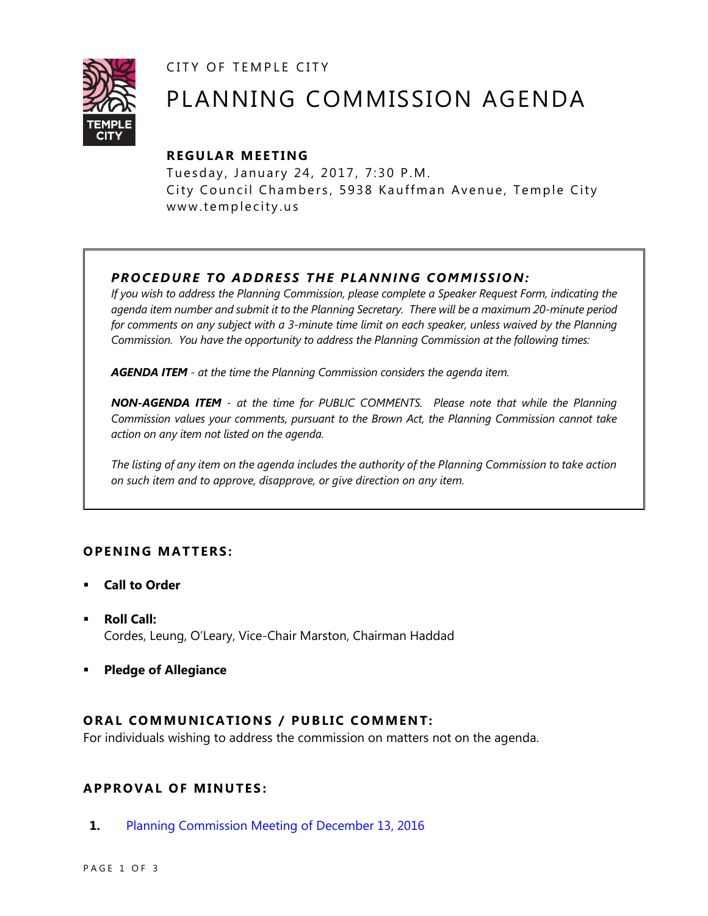CITY OF TEMPLE CITY



# PLANNING COMMISSION AGENDA

## **R EGULA R MEE TING**

Tuesday, January 24, 2017, 7:30 P.M. City Council Chambers, 5938 Kauffman Avenue, Temple City www.templecity.us

# *PRO CE DURE TO ADDRE SS THE P LA NNI NG COMM I SSION:*

*If you wish to address the Planning Commission, please complete a Speaker Request Form, indicating the agenda item number and submit it to the Planning Secretary. There will be a maximum 20-minute period*  for comments on any subject with a 3-minute time limit on each speaker, unless waived by the Planning *Commission. You have the opportunity to address the Planning Commission at the following times:*

*AGENDA ITEM - at the time the Planning Commission considers the agenda item.*

*NON-AGENDA ITEM - at the time for PUBLIC COMMENTS. Please note that while the Planning Commission values your comments, pursuant to the Brown Act, the Planning Commission cannot take action on any item not listed on the agenda.*

*The listing of any item on the agenda includes the authority of the Planning Commission to take action on such item and to approve, disapprove, or give direction on any item.*

## **OPENING MATTERS:**

- **Call to Order**
- **Roll Call:** Cordes, Leung, O'Leary, Vice-Chair Marston, Chairman Haddad
- **Pledge of Allegiance**

## **ORAL COMMUNICATIONS / PUBLIC COMMENT:**

For individuals wishing to address the commission on matters not on the agenda.

## **APPRO VAL OF MINUTES :**

**1.** [Planning Commission Meeting of December 13, 2016](https://ca-templecity.civicplus.com/DocumentCenter/View/7348)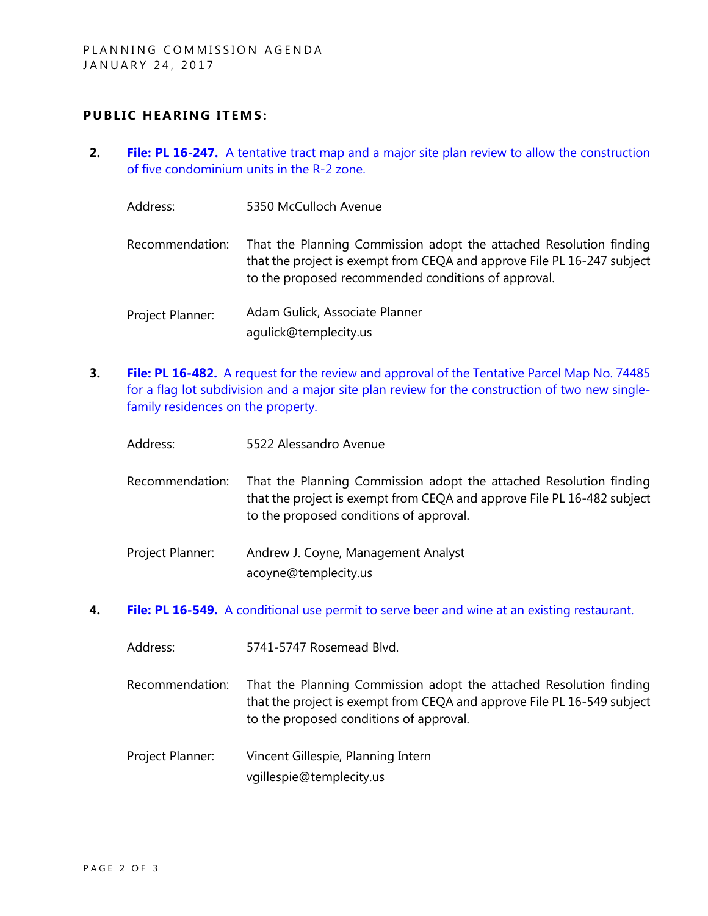#### **PUBLIC HEARING ITEMS:**

- **2. File: PL 16-247.** [A tentative tract map and a major site plan review to allow the construction](https://ca-templecity.civicplus.com/DocumentCenter/View/7349)  [of five condominium units in the R-2 zone.](https://ca-templecity.civicplus.com/DocumentCenter/View/7349)
	- Address: 5350 McCulloch Avenue Recommendation: That the Planning Commission adopt the attached Resolution finding that the project is exempt from CEQA and approve File PL 16-247 subject to the proposed recommended conditions of approval. Project Planner: Adam Gulick, Associate Planner agulick@templecity.us
- **3. File: PL 16-482.** [A request for the review and approval of the Tentative Parcel Map No. 74485](https://ca-templecity.civicplus.com/DocumentCenter/View/7350)  [for a flag lot subdivision and a major site plan review for the construction of two new single](https://ca-templecity.civicplus.com/DocumentCenter/View/7350)[family residences on the property.](https://ca-templecity.civicplus.com/DocumentCenter/View/7350)
	- Address: 5522 Alessandro Avenue
	- Recommendation: That the Planning Commission adopt the attached Resolution finding that the project is exempt from CEQA and approve File PL 16-482 subject to the proposed conditions of approval.
	- Project Planner: Andrew J. Coyne, Management Analyst acoyne@templecity.us
- **4. File: PL 16-549.** [A conditional use permit to serve beer and wine at an existing restaurant.](https://ca-templecity.civicplus.com/DocumentCenter/View/7351)
	- Address: 5741-5747 Rosemead Blvd.
	- Recommendation: That the Planning Commission adopt the attached Resolution finding that the project is exempt from CEQA and approve File PL 16-549 subject to the proposed conditions of approval.
	- Project Planner: Vincent Gillespie, Planning Intern vgillespie@templecity.us